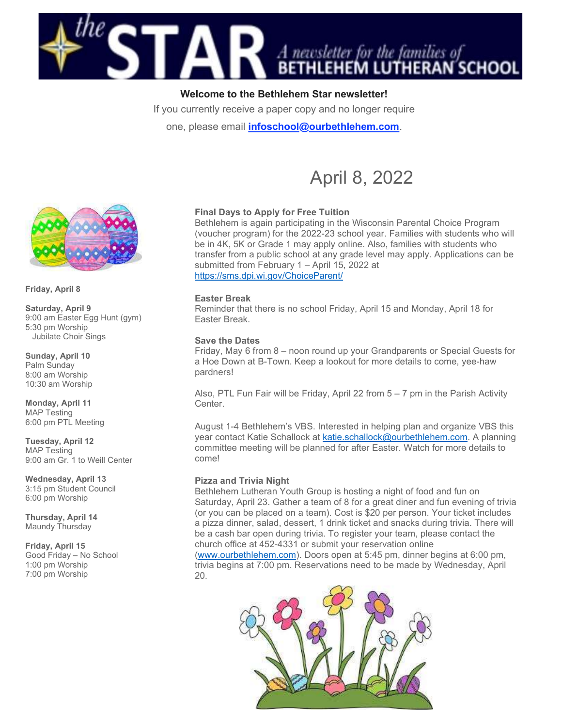

# Welcome to the Bethlehem Star newsletter!

If you currently receive a paper copy and no longer require

one, please email *infoschool@ourbethlehem.com*.



Friday, April 8

Saturday, April 9 9:00 am Easter Egg Hunt (gym) 5:30 pm Worship Jubilate Choir Sings

Sunday, April 10 Palm Sunday 8:00 am Worship 10:30 am Worship

Monday, April 11 MAP Testing 6:00 pm PTL Meeting

Tuesday, April 12 MAP Testing 9:00 am Gr. 1 to Weill Center

Wednesday, April 13 3:15 pm Student Council 6:00 pm Worship

Thursday, April 14 Maundy Thursday

Friday, April 15 Good Friday – No School 1:00 pm Worship 7:00 pm Worship

# Final Days to Apply for Free Tuition

Bethlehem is again participating in the Wisconsin Parental Choice Program (voucher program) for the 2022-23 school year. Families with students who will be in 4K, 5K or Grade 1 may apply online. Also, families with students who transfer from a public school at any grade level may apply. Applications can be submitted from February 1 – April 15, 2022 at https://sms.dpi.wi.gov/ChoiceParent/

April 8, 2022

### Easter Break

Reminder that there is no school Friday, April 15 and Monday, April 18 for Easter Break.

#### Save the Dates

Friday, May 6 from 8 – noon round up your Grandparents or Special Guests for a Hoe Down at B-Town. Keep a lookout for more details to come, yee-haw pardners!

Also, PTL Fun Fair will be Friday, April 22 from 5 – 7 pm in the Parish Activity Center.

August 1-4 Bethlehem's VBS. Interested in helping plan and organize VBS this year contact Katie Schallock at katie.schallock@ourbethlehem.com. A planning committee meeting will be planned for after Easter. Watch for more details to come!

#### Pizza and Trivia Night

Bethlehem Lutheran Youth Group is hosting a night of food and fun on Saturday, April 23. Gather a team of 8 for a great diner and fun evening of trivia (or you can be placed on a team). Cost is \$20 per person. Your ticket includes a pizza dinner, salad, dessert, 1 drink ticket and snacks during trivia. There will be a cash bar open during trivia. To register your team, please contact the church office at 452-4331 or submit your reservation online

(www.ourbethlehem.com). Doors open at 5:45 pm, dinner begins at 6:00 pm, trivia begins at 7:00 pm. Reservations need to be made by Wednesday, April 20.

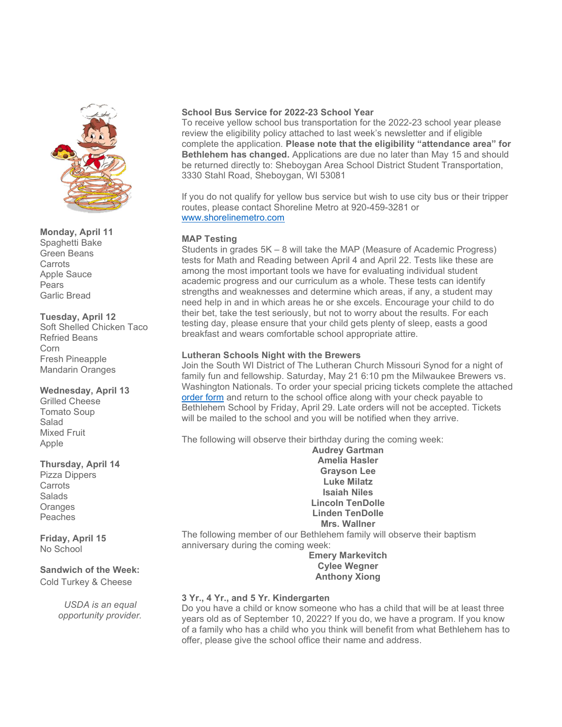

Monday, April 11 Spaghetti Bake Green Beans **Carrots** Apple Sauce **Pears** Garlic Bread

# Tuesday, April 12

Soft Shelled Chicken Taco Refried Beans Corn Fresh Pineapple Mandarin Oranges

### Wednesday, April 13

Grilled Cheese Tomato Soup Salad Mixed Fruit Apple

# Thursday, April 14

Pizza Dippers **Carrots** Salads **Oranges** Peaches

Friday, April 15 No School

# Sandwich of the Week:

Cold Turkey & Cheese

USDA is an equal opportunity provider.

# School Bus Service for 2022-23 School Year

To receive yellow school bus transportation for the 2022-23 school year please review the eligibility policy attached to last week's newsletter and if eligible complete the application. Please note that the eligibility "attendance area" for Bethlehem has changed. Applications are due no later than May 15 and should be returned directly to: Sheboygan Area School District Student Transportation, 3330 Stahl Road, Sheboygan, WI 53081

If you do not qualify for yellow bus service but wish to use city bus or their tripper routes, please contact Shoreline Metro at 920-459-3281 or www.shorelinemetro.com

# MAP Testing

Students in grades 5K – 8 will take the MAP (Measure of Academic Progress) tests for Math and Reading between April 4 and April 22. Tests like these are among the most important tools we have for evaluating individual student academic progress and our curriculum as a whole. These tests can identify strengths and weaknesses and determine which areas, if any, a student may need help in and in which areas he or she excels. Encourage your child to do their bet, take the test seriously, but not to worry about the results. For each testing day, please ensure that your child gets plenty of sleep, easts a good breakfast and wears comfortable school appropriate attire.

# Lutheran Schools Night with the Brewers

Join the South WI District of The Lutheran Church Missouri Synod for a night of family fun and fellowship. Saturday, May 21 6:10 pm the Milwaukee Brewers vs. Washington Nationals. To order your special pricing tickets complete the attached order form and return to the school office along with your check payable to Bethlehem School by Friday, April 29. Late orders will not be accepted. Tickets will be mailed to the school and you will be notified when they arrive.

The following will observe their birthday during the coming week:

Audrey Gartman Amelia Hasler Grayson Lee Luke Milatz Isaiah Niles Lincoln TenDolle Linden TenDolle Mrs. Wallner

The following member of our Bethlehem family will observe their baptism anniversary during the coming week:

Emery Markevitch Cylee Wegner Anthony Xiong

# 3 Yr., 4 Yr., and 5 Yr. Kindergarten

Do you have a child or know someone who has a child that will be at least three years old as of September 10, 2022? If you do, we have a program. If you know of a family who has a child who you think will benefit from what Bethlehem has to offer, please give the school office their name and address.